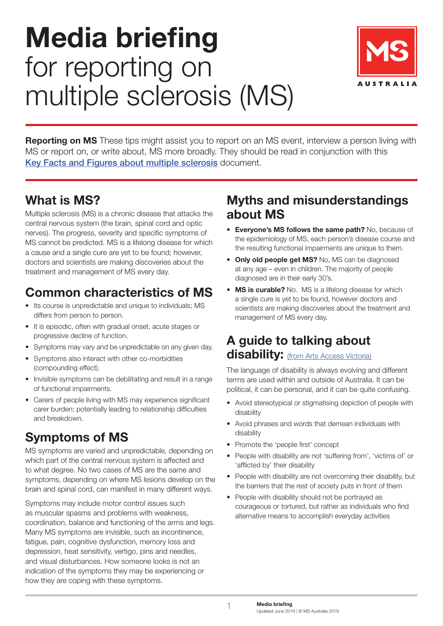# **Media briefing**  for reporting on multiple sclerosis (MS)



**Reporting on MS** These tips might assist you to report on an MS event, interview a person living with MS or report on, or write about, MS more broadly. They should be read in conjunction with this [Key Facts and Figures about multiple sclerosis](https://www.msaustralia.org.au/file/1513/download?token=plVm-JBW) document.

## **What is MS?**

Multiple sclerosis (MS) is a chronic disease that attacks the central nervous system (the brain, spinal cord and optic nerves). The progress, severity and specific symptoms of MS cannot be predicted. MS is a lifelong disease for which a cause and a single cure are yet to be found; however, doctors and scientists are making discoveries about the treatment and management of MS every day.

## **Common characteristics of MS**

- Its course is unpredictable and unique to individuals; MS differs from person to person.
- It is episodic, often with gradual onset, acute stages or progressive decline of function.
- Symptoms may vary and be unpredictable on any given day.
- Symptoms also interact with other co-morbidities (compounding effect).
- Invisible symptoms can be debilitating and result in a range of functional impairments.
- Carers of people living with MS may experience significant carer burden; potentially leading to relationship difficulties and breakdown.

# **Symptoms of MS**

MS symptoms are varied and unpredictable, depending on which part of the central nervous system is affected and to what degree. No two cases of MS are the same and symptoms, depending on where MS lesions develop on the brain and spinal cord, can manifest in many different ways.

Symptoms may include motor control issues such as muscular spasms and problems with weakness, coordination, balance and functioning of the arms and legs. Many MS symptoms are invisible, such as incontinence, fatigue, pain, cognitive dysfunction, memory loss and depression, heat sensitivity, vertigo, pins and needles, and visual disturbances. How someone looks is not an indication of the symptoms they may be experiencing or how they are coping with these symptoms.

#### **Myths and misunderstandings about MS**

- **Everyone's MS follows the same path?** No, because of the epidemiology of MS, each person's disease course and the resulting functional impairments are unique to them.
- **• Only old people get MS?** No, MS can be diagnosed at any age – even in children. The majority of people diagnosed are in their early 30's.
- **• MS is curable?** No. MS is a lifelong disease for which a single cure is yet to be found, however doctors and scientists are making discoveries about the treatment and management of MS every day.

#### **A guide to talking about disability:** [\(from Arts Access Victoria\)](https://www.artsaccess.com.au/talking-about-disability/)

The language of disability is always evolving and different terms are used within and outside of Australia. It can be political, it can be personal, and it can be quite confusing.

- Avoid stereotypical or stigmatising depiction of people with disability
- Avoid phrases and words that demean individuals with disability
- Promote the 'people first' concept
- People with disability are not 'suffering from', 'victims of' or 'afflicted by' their disability
- People with disability are not overcoming their disability, but the barriers that the rest of society puts in front of them
- People with disability should not be portrayed as courageous or tortured, but rather as individuals who find alternative means to accomplish everyday activities